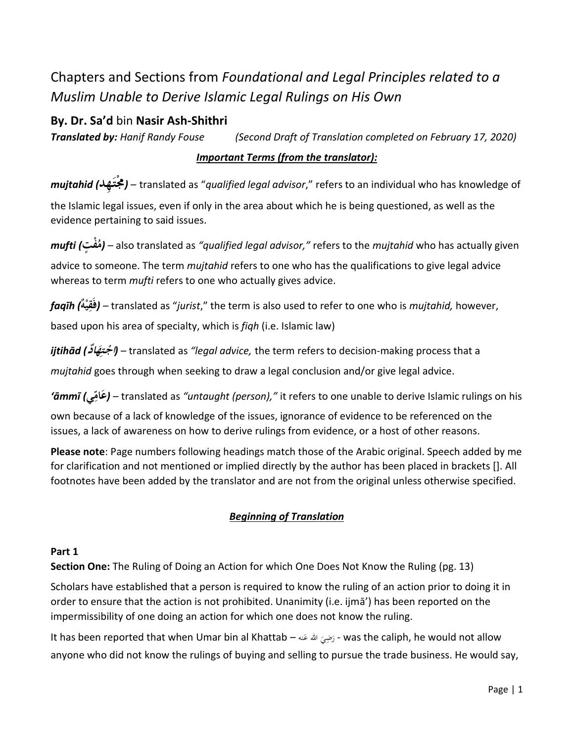# Chapters and Sections from *Foundational and Legal Principles related to a Muslim Unable to Derive Islamic Legal Rulings on His Own*

# **By. Dr. Sa'd** bin **Nasir Ash-Shithri**

*Translated by: Hanif Randy Fouse (Second Draft of Translation completed on February 17, 2020)*

## *Important Terms (from the translator):*

**ـِهد***) mujtahid* **مجت** *– (*translated as "*qualified legal advisor*," refers to an individual who has knowledge of **َ** the Islamic legal issues, even if only in the area about which he is being questioned, as well as the evidence pertaining to said issues.

*mufti (*  **ت م جف** *– (* also translated as *"qualified legal advisor,"* refers to the *mujtahid* who has actually given advice to someone. The term *mujtahid* refers to one who has the qualifications to give legal advice whereas to term *mufti* refers to one who actually gives advice.

*faqīh (*  **فَق ه ي** *– (* translated as "*jurist*," the term is also used to refer to one who is *mujtahid,* however, **ِ ج** based upon his area of specialty, which is *fiqh* (i.e. Islamic law)

*ijtihād (* **ِ ـت جاج ا َ د ه** *– (* translated as *"legal advice,* the term refers to decision-making process that a *mujtahid* goes through when seeking to draw a legal conclusion and/or give legal advice.

**ي***) āmmī'*  **ام ع** *– (*translated as *"untaught (person),"* it refers to one unable to derive Islamic rulings on his بر<br>م **َ**

own because of a lack of knowledge of the issues, ignorance of evidence to be referenced on the issues, a lack of awareness on how to derive rulings from evidence, or a host of other reasons.

**Please note**: Page numbers following headings match those of the Arabic original. Speech added by me for clarification and not mentioned or implied directly by the author has been placed in brackets []. All footnotes have been added by the translator and are not from the original unless otherwise specified.

## *Beginning of Translation*

## **Part 1**

**Section One:** The Ruling of Doing an Action for which One Does Not Know the Ruling (pg. 13)

Scholars have established that a person is required to know the ruling of an action prior to doing it in order to ensure that the action is not prohibited. Unanimity (i.e. ijmā') has been reported on the impermissibility of one doing an action for which one does not know the ruling.

It has been reported that when Umar bin al Khattab – رَضِيَ الله عَنه – was the caliph, he would not allow َ ر<br>ا َ anyone who did not know the rulings of buying and selling to pursue the trade business. He would say,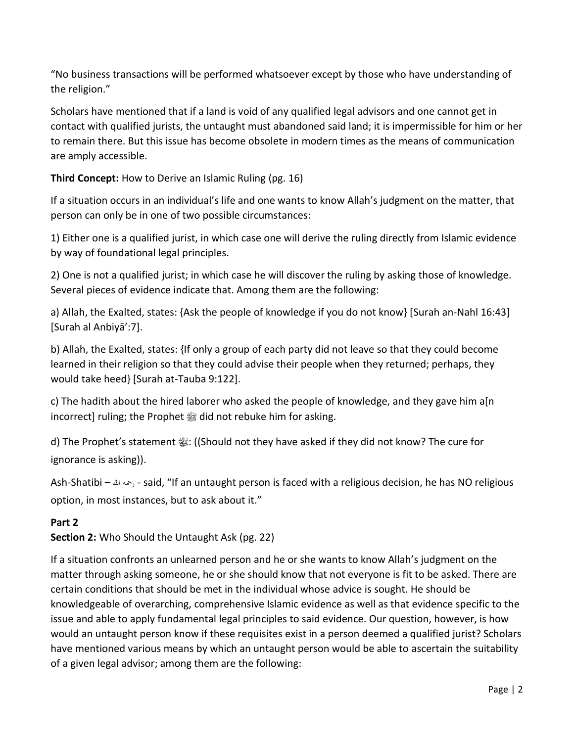"No business transactions will be performed whatsoever except by those who have understanding of the religion."

Scholars have mentioned that if a land is void of any qualified legal advisors and one cannot get in contact with qualified jurists, the untaught must abandoned said land; it is impermissible for him or her to remain there. But this issue has become obsolete in modern times as the means of communication are amply accessible.

**Third Concept:** How to Derive an Islamic Ruling (pg. 16)

If a situation occurs in an individual's life and one wants to know Allah's judgment on the matter, that person can only be in one of two possible circumstances:

1) Either one is a qualified jurist, in which case one will derive the ruling directly from Islamic evidence by way of foundational legal principles.

2) One is not a qualified jurist; in which case he will discover the ruling by asking those of knowledge. Several pieces of evidence indicate that. Among them are the following:

a) Allah, the Exalted, states: {Ask the people of knowledge if you do not know} [Surah an-Nahl 16:43] [Surah al Anbiyā':7].

b) Allah, the Exalted, states: {If only a group of each party did not leave so that they could become learned in their religion so that they could advise their people when they returned; perhaps, they would take heed} [Surah at-Tauba 9:122].

c) The hadith about the hired laborer who asked the people of knowledge, and they gave him a[n incorrect] ruling; the Prophet  $\frac{dx}{dx}$  did not rebuke him for asking.

d) The Prophet's statement  $\frac{46}{35}$ : ((Should not they have asked if they did not know? The cure for ignorance is asking)).

Ash-Shatibi – هللا رمحه - said, "If an untaught person is faced with a religious decision, he has NO religious option, in most instances, but to ask about it."

## **Part 2**

**Section 2:** Who Should the Untaught Ask (pg. 22)

If a situation confronts an unlearned person and he or she wants to know Allah's judgment on the matter through asking someone, he or she should know that not everyone is fit to be asked. There are certain conditions that should be met in the individual whose advice is sought. He should be knowledgeable of overarching, comprehensive Islamic evidence as well as that evidence specific to the issue and able to apply fundamental legal principles to said evidence. Our question, however, is how would an untaught person know if these requisites exist in a person deemed a qualified jurist? Scholars have mentioned various means by which an untaught person would be able to ascertain the suitability of a given legal advisor; among them are the following: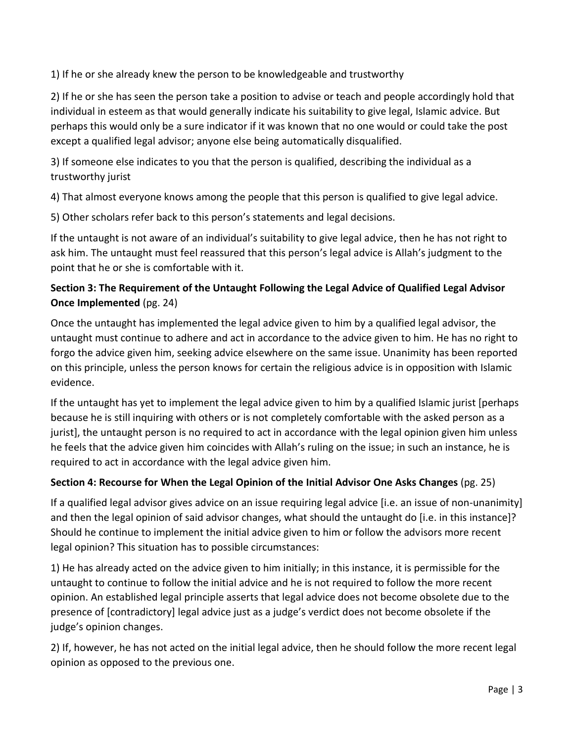1) If he or she already knew the person to be knowledgeable and trustworthy

2) If he or she has seen the person take a position to advise or teach and people accordingly hold that individual in esteem as that would generally indicate his suitability to give legal, Islamic advice. But perhaps this would only be a sure indicator if it was known that no one would or could take the post except a qualified legal advisor; anyone else being automatically disqualified.

3) If someone else indicates to you that the person is qualified, describing the individual as a trustworthy jurist

4) That almost everyone knows among the people that this person is qualified to give legal advice.

5) Other scholars refer back to this person's statements and legal decisions.

If the untaught is not aware of an individual's suitability to give legal advice, then he has not right to ask him. The untaught must feel reassured that this person's legal advice is Allah's judgment to the point that he or she is comfortable with it.

## **Section 3: The Requirement of the Untaught Following the Legal Advice of Qualified Legal Advisor Once Implemented** (pg. 24)

Once the untaught has implemented the legal advice given to him by a qualified legal advisor, the untaught must continue to adhere and act in accordance to the advice given to him. He has no right to forgo the advice given him, seeking advice elsewhere on the same issue. Unanimity has been reported on this principle, unless the person knows for certain the religious advice is in opposition with Islamic evidence.

If the untaught has yet to implement the legal advice given to him by a qualified Islamic jurist [perhaps because he is still inquiring with others or is not completely comfortable with the asked person as a jurist], the untaught person is no required to act in accordance with the legal opinion given him unless he feels that the advice given him coincides with Allah's ruling on the issue; in such an instance, he is required to act in accordance with the legal advice given him.

## **Section 4: Recourse for When the Legal Opinion of the Initial Advisor One Asks Changes** (pg. 25)

If a qualified legal advisor gives advice on an issue requiring legal advice [i.e. an issue of non-unanimity] and then the legal opinion of said advisor changes, what should the untaught do [i.e. in this instance]? Should he continue to implement the initial advice given to him or follow the advisors more recent legal opinion? This situation has to possible circumstances:

1) He has already acted on the advice given to him initially; in this instance, it is permissible for the untaught to continue to follow the initial advice and he is not required to follow the more recent opinion. An established legal principle asserts that legal advice does not become obsolete due to the presence of [contradictory] legal advice just as a judge's verdict does not become obsolete if the judge's opinion changes.

2) If, however, he has not acted on the initial legal advice, then he should follow the more recent legal opinion as opposed to the previous one.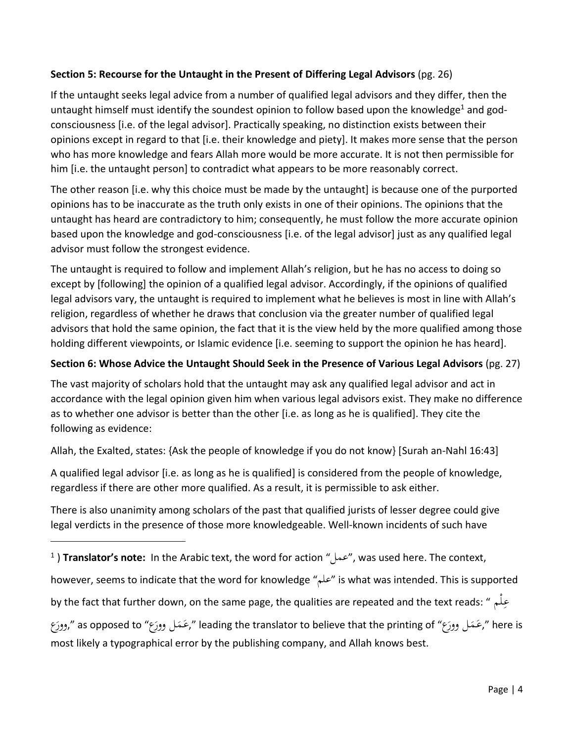#### **Section 5: Recourse for the Untaught in the Present of Differing Legal Advisors** (pg. 26)

If the untaught seeks legal advice from a number of qualified legal advisors and they differ, then the untaught himself must identify the soundest opinion to follow based upon the knowledge<sup>1</sup> and godconsciousness [i.e. of the legal advisor]. Practically speaking, no distinction exists between their opinions except in regard to that [i.e. their knowledge and piety]. It makes more sense that the person who has more knowledge and fears Allah more would be more accurate. It is not then permissible for him [i.e. the untaught person] to contradict what appears to be more reasonably correct.

The other reason [i.e. why this choice must be made by the untaught] is because one of the purported opinions has to be inaccurate as the truth only exists in one of their opinions. The opinions that the untaught has heard are contradictory to him; consequently, he must follow the more accurate opinion based upon the knowledge and god-consciousness [i.e. of the legal advisor] just as any qualified legal advisor must follow the strongest evidence.

The untaught is required to follow and implement Allah's religion, but he has no access to doing so except by [following] the opinion of a qualified legal advisor. Accordingly, if the opinions of qualified legal advisors vary, the untaught is required to implement what he believes is most in line with Allah's religion, regardless of whether he draws that conclusion via the greater number of qualified legal advisors that hold the same opinion, the fact that it is the view held by the more qualified among those holding different viewpoints, or Islamic evidence [i.e. seeming to support the opinion he has heard].

#### **Section 6: Whose Advice the Untaught Should Seek in the Presence of Various Legal Advisors** (pg. 27)

The vast majority of scholars hold that the untaught may ask any qualified legal advisor and act in accordance with the legal opinion given him when various legal advisors exist. They make no difference as to whether one advisor is better than the other [i.e. as long as he is qualified]. They cite the following as evidence:

Allah, the Exalted, states: {Ask the people of knowledge if you do not know} [Surah an-Nahl 16:43]

A qualified legal advisor [i.e. as long as he is qualified] is considered from the people of knowledge, regardless if there are other more qualified. As a result, it is permissible to ask either.

There is also unanimity among scholars of the past that qualified jurists of lesser degree could give legal verdicts in the presence of those more knowledgeable. Well-known incidents of such have

however, seems to indicate that the word for knowledge "علم "is what was intended. This is supported

by the fact that further down, on the same page, the qualities are repeated and the text reads: " ـمْـل ع ِ

وورَع" as opposed to "جَمَعَل وورَع» leading the translator to believe that the printing of",عَمَل وورَع " here is  $\overline{a}$ َ َ  $\overline{a}$ َ َ most likely a typographical error by the publishing company, and Allah knows best.

<sup>1</sup> ) **Translator's note:** In the Arabic text, the word for action "عمل", was used here. The context,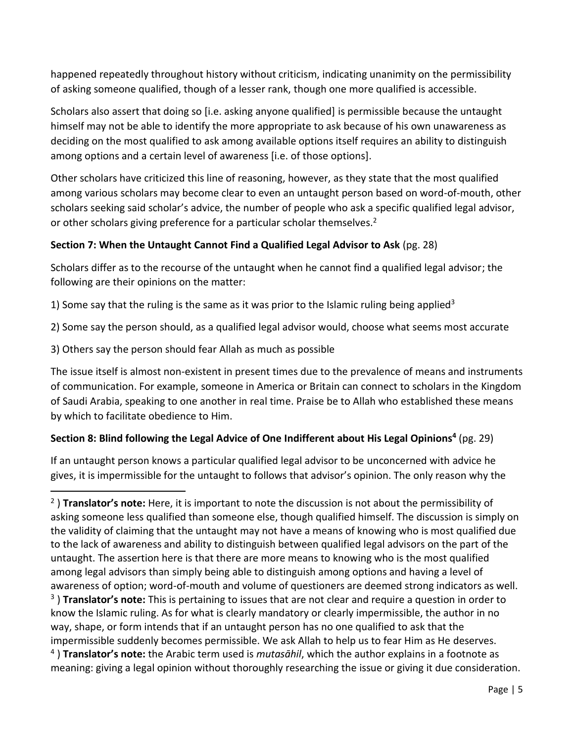happened repeatedly throughout history without criticism, indicating unanimity on the permissibility of asking someone qualified, though of a lesser rank, though one more qualified is accessible.

Scholars also assert that doing so [i.e. asking anyone qualified] is permissible because the untaught himself may not be able to identify the more appropriate to ask because of his own unawareness as deciding on the most qualified to ask among available options itself requires an ability to distinguish among options and a certain level of awareness [i.e. of those options].

Other scholars have criticized this line of reasoning, however, as they state that the most qualified among various scholars may become clear to even an untaught person based on word-of-mouth, other scholars seeking said scholar's advice, the number of people who ask a specific qualified legal advisor, or other scholars giving preference for a particular scholar themselves.<sup>2</sup>

#### **Section 7: When the Untaught Cannot Find a Qualified Legal Advisor to Ask** (pg. 28)

Scholars differ as to the recourse of the untaught when he cannot find a qualified legal advisor; the following are their opinions on the matter:

1) Some say that the ruling is the same as it was prior to the Islamic ruling being applied<sup>3</sup>

2) Some say the person should, as a qualified legal advisor would, choose what seems most accurate

3) Others say the person should fear Allah as much as possible

The issue itself is almost non-existent in present times due to the prevalence of means and instruments of communication. For example, someone in America or Britain can connect to scholars in the Kingdom of Saudi Arabia, speaking to one another in real time. Praise be to Allah who established these means by which to facilitate obedience to Him.

## **Section 8: Blind following the Legal Advice of One Indifferent about His Legal Opinions<sup>4</sup>** (pg. 29)

If an untaught person knows a particular qualified legal advisor to be unconcerned with advice he gives, it is impermissible for the untaught to follows that advisor's opinion. The only reason why the

<sup>2</sup> ) **Translator's note:** Here, it is important to note the discussion is not about the permissibility of asking someone less qualified than someone else, though qualified himself. The discussion is simply on the validity of claiming that the untaught may not have a means of knowing who is most qualified due to the lack of awareness and ability to distinguish between qualified legal advisors on the part of the untaught. The assertion here is that there are more means to knowing who is the most qualified among legal advisors than simply being able to distinguish among options and having a level of awareness of option; word-of-mouth and volume of questioners are deemed strong indicators as well. 3 ) **Translator's note:** This is pertaining to issues that are not clear and require a question in order to know the Islamic ruling. As for what is clearly mandatory or clearly impermissible, the author in no way, shape, or form intends that if an untaught person has no one qualified to ask that the impermissible suddenly becomes permissible. We ask Allah to help us to fear Him as He deserves.

<sup>4</sup> ) **Translator's note:** the Arabic term used is *mutasāhil*, which the author explains in a footnote as meaning: giving a legal opinion without thoroughly researching the issue or giving it due consideration.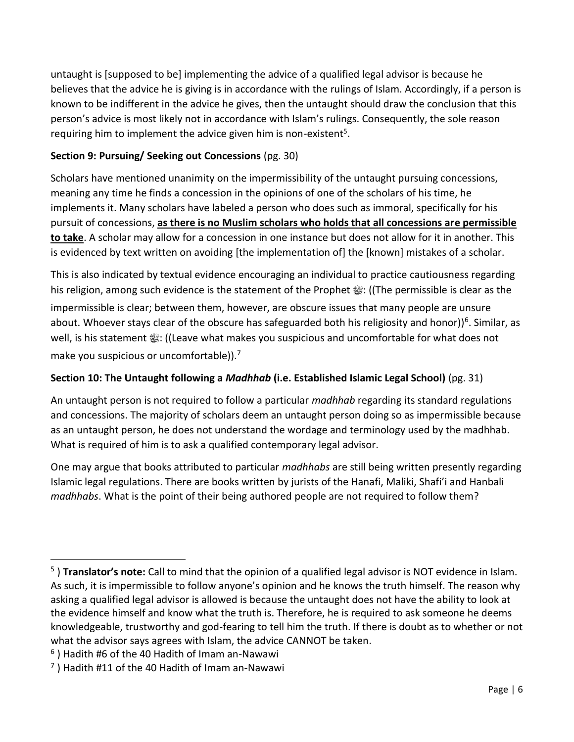untaught is [supposed to be] implementing the advice of a qualified legal advisor is because he believes that the advice he is giving is in accordance with the rulings of Islam. Accordingly, if a person is known to be indifferent in the advice he gives, then the untaught should draw the conclusion that this person's advice is most likely not in accordance with Islam's rulings. Consequently, the sole reason requiring him to implement the advice given him is non-existent<sup>5</sup>.

#### **Section 9: Pursuing/ Seeking out Concessions** (pg. 30)

Scholars have mentioned unanimity on the impermissibility of the untaught pursuing concessions, meaning any time he finds a concession in the opinions of one of the scholars of his time, he implements it. Many scholars have labeled a person who does such as immoral, specifically for his pursuit of concessions, **as there is no Muslim scholars who holds that all concessions are permissible to take**. A scholar may allow for a concession in one instance but does not allow for it in another. This is evidenced by text written on avoiding [the implementation of] the [known] mistakes of a scholar.

This is also indicated by textual evidence encouraging an individual to practice cautiousness regarding his religion, among such evidence is the statement of the Prophet  $\frac{m}{25}$ : ((The permissible is clear as the impermissible is clear; between them, however, are obscure issues that many people are unsure about. Whoever stays clear of the obscure has safeguarded both his religiosity and honor))<sup>6</sup>. Similar, as well, is his statement  $\frac{160}{25}$ : ((Leave what makes you suspicious and uncomfortable for what does not make you suspicious or uncomfortable)).<sup>7</sup>

## **Section 10: The Untaught following a** *Madhhab* **(i.e. Established Islamic Legal School)** (pg. 31)

An untaught person is not required to follow a particular *madhhab* regarding its standard regulations and concessions. The majority of scholars deem an untaught person doing so as impermissible because as an untaught person, he does not understand the wordage and terminology used by the madhhab. What is required of him is to ask a qualified contemporary legal advisor.

One may argue that books attributed to particular *madhhabs* are still being written presently regarding Islamic legal regulations. There are books written by jurists of the Hanafi, Maliki, Shafi'i and Hanbali *madhhabs*. What is the point of their being authored people are not required to follow them?

<sup>5</sup> ) **Translator's note:** Call to mind that the opinion of a qualified legal advisor is NOT evidence in Islam. As such, it is impermissible to follow anyone's opinion and he knows the truth himself. The reason why asking a qualified legal advisor is allowed is because the untaught does not have the ability to look at the evidence himself and know what the truth is. Therefore, he is required to ask someone he deems knowledgeable, trustworthy and god-fearing to tell him the truth. If there is doubt as to whether or not what the advisor says agrees with Islam, the advice CANNOT be taken.

 $^6$  ) Hadith #6 of the 40 Hadith of Imam an-Nawawi

 $\sigma$ ) Hadith #11 of the 40 Hadith of Imam an-Nawawi